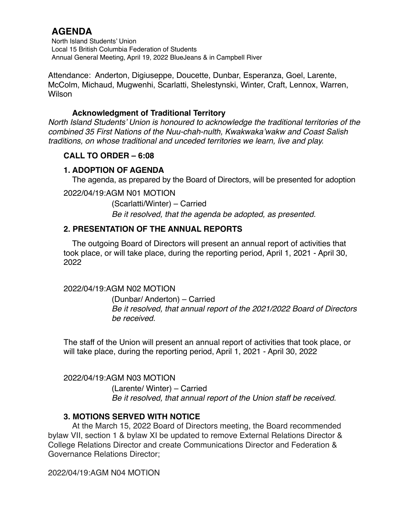North Island Students' Union Local 15 British Columbia Federation of Students Annual General Meeting, April 19, 2022 BlueJeans & in Campbell River

Attendance: Anderton, Digiuseppe, Doucette, Dunbar, Esperanza, Goel, Larente, McColm, Michaud, Mugwenhi, Scarlatti, Shelestynski, Winter, Craft, Lennox, Warren, Wilson

### **Acknowledgment of Traditional Territory**

*North Island Students' Union is honoured to acknowledge the traditional territories of the combined 35 First Nations of the Nuu-chah-nulth, Kwakwaka'wakw and Coast Salish traditions, on whose traditional and unceded territories we learn, live and play.*

## **CALL TO ORDER – 6:08**

## **1. ADOPTION OF AGENDA**

The agenda, as prepared by the Board of Directors, will be presented for adoption

2022/04/19:AGM N01 MOTION

(Scarlatti/Winter) – Carried *Be it resolved, that the agenda be adopted, as presented.*

## **2. PRESENTATION OF THE ANNUAL REPORTS**

The outgoing Board of Directors will present an annual report of activities that took place, or will take place, during the reporting period, April 1, 2021 - April 30, 2022

#### 2022/04/19:AGM N02 MOTION

(Dunbar/ Anderton) – Carried *Be it resolved, that annual report of the 2021/2022 Board of Directors be received.* 

The staff of the Union will present an annual report of activities that took place, or will take place, during the reporting period, April 1, 2021 - April 30, 2022

2022/04/19:AGM N03 MOTION (Larente/ Winter) – Carried *Be it resolved, that annual report of the Union staff be received.* 

## **3. MOTIONS SERVED WITH NOTICE**

At the March 15, 2022 Board of Directors meeting, the Board recommended bylaw VII, section 1 & bylaw XI be updated to remove External Relations Director & College Relations Director and create Communications Director and Federation & Governance Relations Director;

2022/04/19:AGM N04 MOTION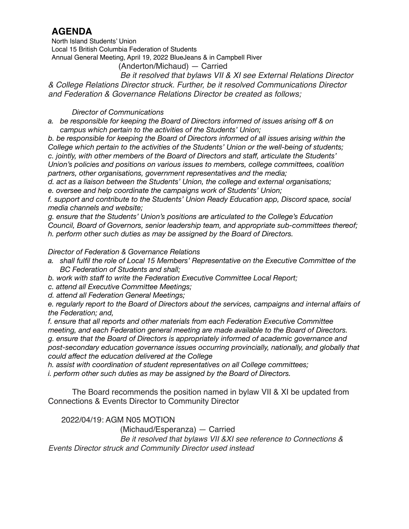North Island Students' Union Local 15 British Columbia Federation of Students Annual General Meeting, April 19, 2022 BlueJeans & in Campbell River

(Anderton/Michaud) — Carried

*Be it resolved that bylaws VII & XI see External Relations Director & College Relations Director struck. Further, be it resolved Communications Director and Federation & Governance Relations Director be created as follows;*

#### *Director of Communications*

- *a. be responsible for keeping the Board of Directors informed of issues arising off & on campus which pertain to the activities of the Students' Union;*
- *b. be responsible for keeping the Board of Directors informed of all issues arising within the College which pertain to the activities of the Students' Union or the well-being of students; c. jointly, with other members of the Board of Directors and staff, articulate the Students' Union's policies and positions on various issues to members, college committees, coalition partners, other organisations, government representatives and the media;*

*d. act as a liaison between the Students' Union, the college and external organisations; e. oversee and help coordinate the campaigns work of Students' Union;* 

*f. support and contribute to the Students' Union Ready Education app, Discord space, social media channels and website;* 

*g. ensure that the Students' Union's positions are articulated to the College's Education Council, Board of Governors, senior leadership team, and appropriate sub-committees thereof; h. perform other such duties as may be assigned by the Board of Directors.* 

#### *Director of Federation & Governance Relations*

- *a. shall fulfil the role of Local 15 Members' Representative on the Executive Committee of the BC Federation of Students and shall;*
- *b. work with staff to write the Federation Executive Committee Local Report;*
- *c. attend all Executive Committee Meetings;*
- *d. attend all Federation General Meetings;*

*e. regularly report to the Board of Directors about the services, campaigns and internal affairs of the Federation; and,* 

*f. ensure that all reports and other materials from each Federation Executive Committee meeting, and each Federation general meeting are made available to the Board of Directors. g. ensure that the Board of Directors is appropriately informed of academic governance and post-secondary education governance issues occurring provincially, nationally, and globally that could affect the education delivered at the College* 

*h. assist with coordination of student representatives on all College committees; i. perform other such duties as may be assigned by the Board of Directors.* 

The Board recommends the position named in bylaw VII & XI be updated from Connections & Events Director to Community Director

2022/04/19: AGM N05 MOTION

(Michaud/Esperanza) — Carried

*Be it resolved that bylaws VII &XI see reference to Connections & Events Director struck and Community Director used instead*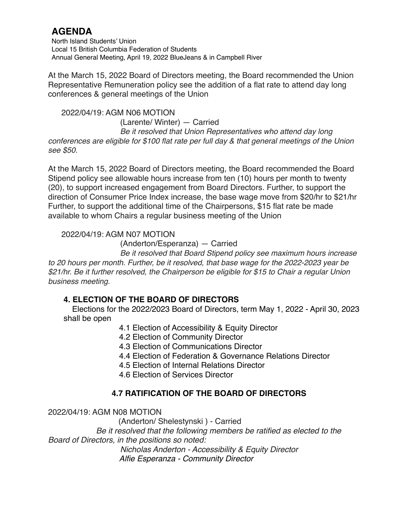North Island Students' Union Local 15 British Columbia Federation of Students Annual General Meeting, April 19, 2022 BlueJeans & in Campbell River

At the March 15, 2022 Board of Directors meeting, the Board recommended the Union Representative Remuneration policy see the addition of a flat rate to attend day long conferences & general meetings of the Union

 2022/04/19: AGM N06 MOTION (Larente/ Winter) — Carried *Be it resolved that Union Representatives who attend day long conferences are eligible for \$100 flat rate per full day & that general meetings of the Union see \$50.* 

At the March 15, 2022 Board of Directors meeting, the Board recommended the Board Stipend policy see allowable hours increase from ten (10) hours per month to twenty (20), to support increased engagement from Board Directors. Further, to support the direction of Consumer Price Index increase, the base wage move from \$20/hr to \$21/hr Further, to support the additional time of the Chairpersons, \$15 flat rate be made available to whom Chairs a regular business meeting of the Union

### 2022/04/19: AGM N07 MOTION

(Anderton/Esperanza) — Carried

*Be it resolved that Board Stipend policy see maximum hours increase to 20 hours per month. Further, be it resolved, that base wage for the 2022-2023 year be \$21/hr. Be it further resolved, the Chairperson be eligible for \$15 to Chair a regular Union business meeting.* 

## **4. ELECTION OF THE BOARD OF DIRECTORS**

Elections for the 2022/2023 Board of Directors, term May 1, 2022 - April 30, 2023 shall be open

- 4.1 Election of Accessibility & Equity Director
- 4.2 Election of Community Director
- 4.3 Election of Communications Director
- 4.4 Election of Federation & Governance Relations Director
- 4.5 Election of Internal Relations Director
- 4.6 Election of Services Director

## **4.7 RATIFICATION OF THE BOARD OF DIRECTORS**

2022/04/19: AGM N08 MOTION

(Anderton/ Shelestynski ) - Carried

*Be it resolved that the following members be ratified as elected to the Board of Directors, in the positions so noted:*

*Nicholas Anderton - Accessibility & Equity Director Alfie Esperanza - Community Director*